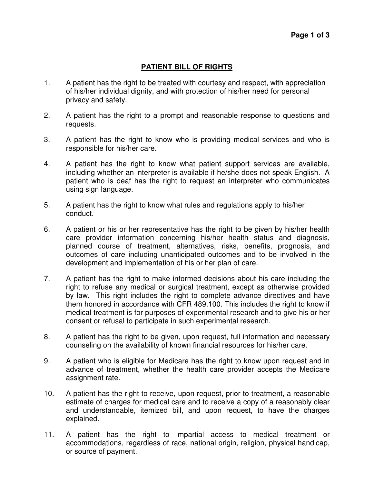## **PATIENT BILL OF RIGHTS**

- 1. A patient has the right to be treated with courtesy and respect, with appreciation of his/her individual dignity, and with protection of his/her need for personal privacy and safety.
- 2. A patient has the right to a prompt and reasonable response to questions and requests.
- 3. A patient has the right to know who is providing medical services and who is responsible for his/her care.
- 4. A patient has the right to know what patient support services are available, including whether an interpreter is available if he/she does not speak English. A patient who is deaf has the right to request an interpreter who communicates using sign language.
- 5. A patient has the right to know what rules and regulations apply to his/her conduct.
- 6. A patient or his or her representative has the right to be given by his/her health care provider information concerning his/her health status and diagnosis, planned course of treatment, alternatives, risks, benefits, prognosis, and outcomes of care including unanticipated outcomes and to be involved in the development and implementation of his or her plan of care.
- 7. A patient has the right to make informed decisions about his care including the right to refuse any medical or surgical treatment, except as otherwise provided by law. This right includes the right to complete advance directives and have them honored in accordance with CFR 489.100. This includes the right to know if medical treatment is for purposes of experimental research and to give his or her consent or refusal to participate in such experimental research.
- 8. A patient has the right to be given, upon request, full information and necessary counseling on the availability of known financial resources for his/her care.
- 9. A patient who is eligible for Medicare has the right to know upon request and in advance of treatment, whether the health care provider accepts the Medicare assignment rate.
- 10. A patient has the right to receive, upon request, prior to treatment, a reasonable estimate of charges for medical care and to receive a copy of a reasonably clear and understandable, itemized bill, and upon request, to have the charges explained.
- 11. A patient has the right to impartial access to medical treatment or accommodations, regardless of race, national origin, religion, physical handicap, or source of payment.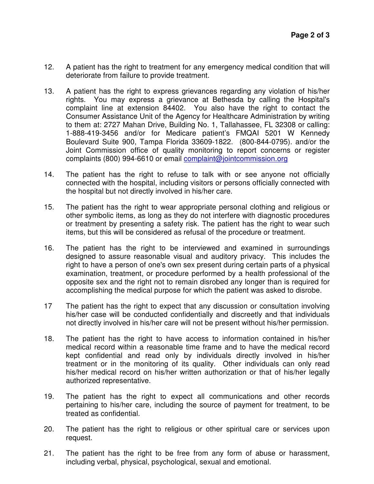- 12. A patient has the right to treatment for any emergency medical condition that will deteriorate from failure to provide treatment.
- 13. A patient has the right to express grievances regarding any violation of his/her rights. You may express a grievance at Bethesda by calling the Hospital's complaint line at extension 84402. You also have the right to contact the Consumer Assistance Unit of the Agency for Healthcare Administration by writing to them at: 2727 Mahan Drive, Building No. 1, Tallahassee, FL 32308 or calling: 1-888-419-3456 and/or for Medicare patient's FMQAI 5201 W Kennedy Boulevard Suite 900, Tampa Florida 33609-1822. (800-844-0795). and/or the Joint Commission office of quality monitoring to report concerns or register complaints (800) 994-6610 or email complaint@jointcommission.org
- 14. The patient has the right to refuse to talk with or see anyone not officially connected with the hospital, including visitors or persons officially connected with the hospital but not directly involved in his/her care.
- 15. The patient has the right to wear appropriate personal clothing and religious or other symbolic items, as long as they do not interfere with diagnostic procedures or treatment by presenting a safety risk. The patient has the right to wear such items, but this will be considered as refusal of the procedure or treatment.
- 16. The patient has the right to be interviewed and examined in surroundings designed to assure reasonable visual and auditory privacy. This includes the right to have a person of one's own sex present during certain parts of a physical examination, treatment, or procedure performed by a health professional of the opposite sex and the right not to remain disrobed any longer than is required for accomplishing the medical purpose for which the patient was asked to disrobe.
- 17 The patient has the right to expect that any discussion or consultation involving his/her case will be conducted confidentially and discreetly and that individuals not directly involved in his/her care will not be present without his/her permission.
- 18. The patient has the right to have access to information contained in his/her medical record within a reasonable time frame and to have the medical record kept confidential and read only by individuals directly involved in his/her treatment or in the monitoring of its quality. Other individuals can only read his/her medical record on his/her written authorization or that of his/her legally authorized representative.
- 19. The patient has the right to expect all communications and other records pertaining to his/her care, including the source of payment for treatment, to be treated as confidential.
- 20. The patient has the right to religious or other spiritual care or services upon request.
- 21. The patient has the right to be free from any form of abuse or harassment, including verbal, physical, psychological, sexual and emotional.